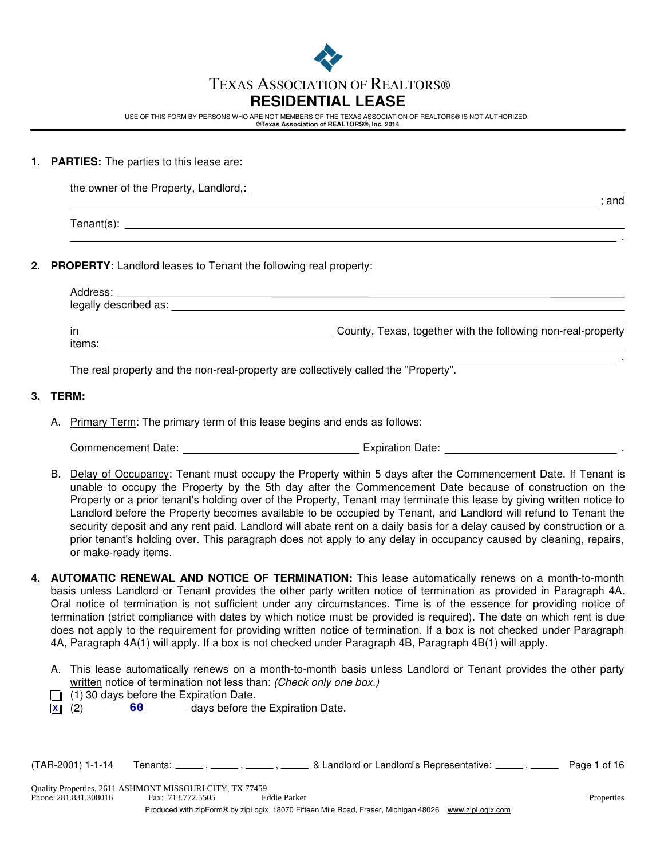

# TEXAS ASSOCIATION OF REALTORS®

# **RESIDENTIAL LEASE**

USE OF THIS FORM BY PERSONS WHO ARE NOT MEMBERS OF THE TEXAS ASSOCIATION OF REALTORS® IS NOT AUTHORIZED. **©Texas Association of REALTORS®, Inc. 2014**

#### **1. PARTIES:** The parties to this lease are:

| the owner of the Property, Landlord,: |     |
|---------------------------------------|-----|
|                                       | and |

Tenant(s):

## **2. PROPERTY:** Landlord leases to Tenant the following real property:

| Address:              |                                                              |
|-----------------------|--------------------------------------------------------------|
| legally described as: |                                                              |
|                       |                                                              |
| in                    | County, Texas, together with the following non-real-property |
| items:                |                                                              |

The real property and the non-real-property are collectively called the "Property".

## **3. TERM:**

A. Primary Term: The primary term of this lease begins and ends as follows:

Commencement Date: Expiration Date: .

- B. Delay of Occupancy: Tenant must occupy the Property within 5 days after the Commencement Date. If Tenant is unable to occupy the Property by the 5th day after the Commencement Date because of construction on the Property or a prior tenant's holding over of the Property, Tenant may terminate this lease by giving written notice to Landlord before the Property becomes available to be occupied by Tenant, and Landlord will refund to Tenant the security deposit and any rent paid. Landlord will abate rent on a daily basis for a delay caused by construction or a prior tenant's holding over. This paragraph does not apply to any delay in occupancy caused by cleaning, repairs, or make-ready items.
- **4. AUTOMATIC RENEWAL AND NOTICE OF TERMINATION:** This lease automatically renews on a month-to-month basis unless Landlord or Tenant provides the other party written notice of termination as provided in Paragraph 4A. Oral notice of termination is not sufficient under any circumstances. Time is of the essence for providing notice of termination (strict compliance with dates by which notice must be provided is required). The date on which rent is due does not apply to the requirement for providing written notice of termination. If a box is not checked under Paragraph 4A, Paragraph 4A(1) will apply. If a box is not checked under Paragraph 4B, Paragraph 4B(1) will apply.
	- A. This lease automatically renews on a month-to-month basis unless Landlord or Tenant provides the other party written notice of termination not less than: *(Check only one box.)*
	- $\Box$  (1) 30 days before the Expiration Date.
	- (2) days before the Expiration Date. **X 60**

 $(TAR-2001)$  1-1-14 Tenants:  $\frac{1}{\sqrt{1-\frac{1}{n}}}$ ,  $\frac{1}{\sqrt{1-\frac{1}{n}}}$  & Landlord or Landlord's Representative:  $\frac{1}{\sqrt{1-\frac{1}{n}}}$  Page 1 of 16

.

.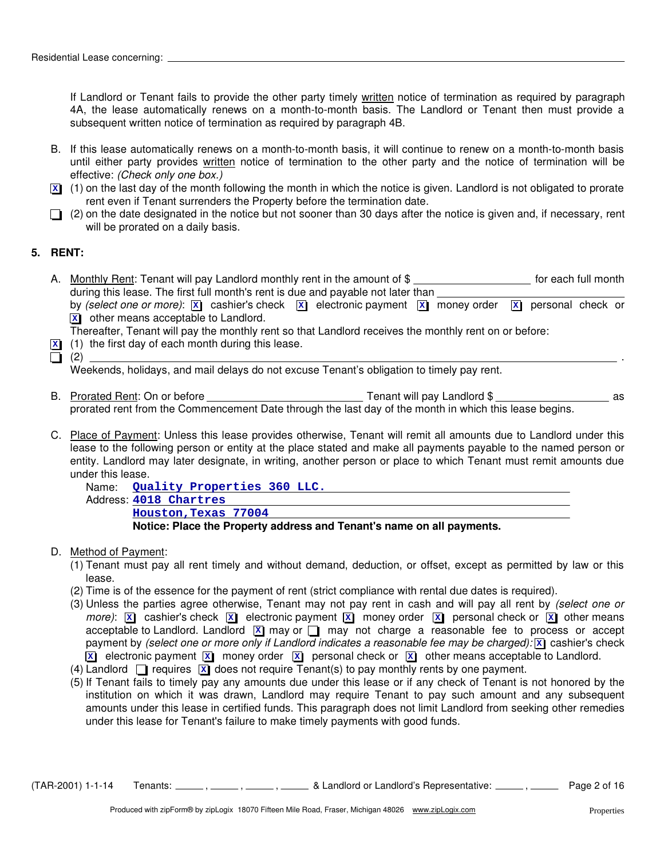If Landlord or Tenant fails to provide the other party timely written notice of termination as required by paragraph 4A, the lease automatically renews on a month-to-month basis. The Landlord or Tenant then must provide a subsequent written notice of termination as required by paragraph 4B.

- B. If this lease automatically renews on a month-to-month basis, it will continue to renew on a month-to-month basis until either party provides written notice of termination to the other party and the notice of termination will be effective: *(Check only one box.)*
- $\overline{x}$  (1) on the last day of the month following the month in which the notice is given. Landlord is not obligated to prorate rent even if Tenant surrenders the Property before the termination date.
- $\Box$  (2) on the date designated in the notice but not sooner than 30 days after the notice is given and, if necessary, rent will be prorated on a daily basis.

# **5. RENT:**

A. Nonthly Rent: Tenant will pay Landlord monthly rent in the amount of \$ **witch the month** of each full month during this lease. The first full month's rent is due and payable not later than  $\equiv$ by (select one or more):  $\boxed{\mathbf{x}}$  cashier's check  $\boxed{\mathbf{x}}$  electronic payment  $\boxed{\mathbf{x}}$  money order  $\boxed{\mathbf{x}}$  personal check or other means acceptable to Landlord. **X**

Thereafter, Tenant will pay the monthly rent so that Landlord receives the monthly rent on or before:

- (1) the first day of each month during this lease. **X**
- (2) .

Weekends, holidays, and mail delays do not excuse Tenant's obligation to timely pay rent.

- B. Prorated Rent: On or before Tenant will pay Landlord \$ as prorated rent from the Commencement Date through the last day of the month in which this lease begins.
- C. Place of Payment: Unless this lease provides otherwise, Tenant will remit all amounts due to Landlord under this lease to the following person or entity at the place stated and make all payments payable to the named person or entity. Landlord may later designate, in writing, another person or place to which Tenant must remit amounts due under this lease.

```
Name: Quality Properties 360 LLC.
Address:
4018 Chartres
      Notice: Place the Property address and Tenant's name on all payments.
      Houston,Texas 77004
```
#### D. Method of Payment:

- (1) Tenant must pay all rent timely and without demand, deduction, or offset, except as permitted by law or this lease.
- (2) Time is of the essence for the payment of rent (strict compliance with rental due dates is required).
- (3) Unless the parties agree otherwise, Tenant may not pay rent in cash and will pay all rent by *(select one or*  $m$ ore):  $\boxed{\mathbf{x}}$  cashier's check  $\boxed{\mathbf{x}}$  electronic payment  $\boxed{\mathbf{x}}$  money order  $\boxed{\mathbf{x}}$  personal check or  $\boxed{\mathbf{x}}$  other means acceptable to Landlord. Landlord **X** may or **C** may not charge a reasonable fee to process or accept payment by *(select one or more only if Landlord indicates a reasonable fee may be charged):* cashier's check **X x i** electronic payment  $[\overline{\mathbf{x}}]$  money order  $[\overline{\mathbf{x}}]$  personal check or  $[\overline{\mathbf{x}}]$  other means acceptable to Landlord.
- (4) Landlord  $\Box$  requires  $\boxed{\times}$  does not require Tenant(s) to pay monthly rents by one payment.
- (5) If Tenant fails to timely pay any amounts due under this lease or if any check of Tenant is not honored by the institution on which it was drawn, Landlord may require Tenant to pay such amount and any subsequent amounts under this lease in certified funds. This paragraph does not limit Landlord from seeking other remedies under this lease for Tenant's failure to make timely payments with good funds.

 $(TAR-2001)$  1-1-14 Tenants:  $\frac{1}{\sqrt{16}}$ ,  $\frac{1}{\sqrt{16}}$ ,  $\frac{1}{\sqrt{16}}$  & Landlord or Landlord's Representative:  $\frac{1}{\sqrt{16}}$  Page 2 of 16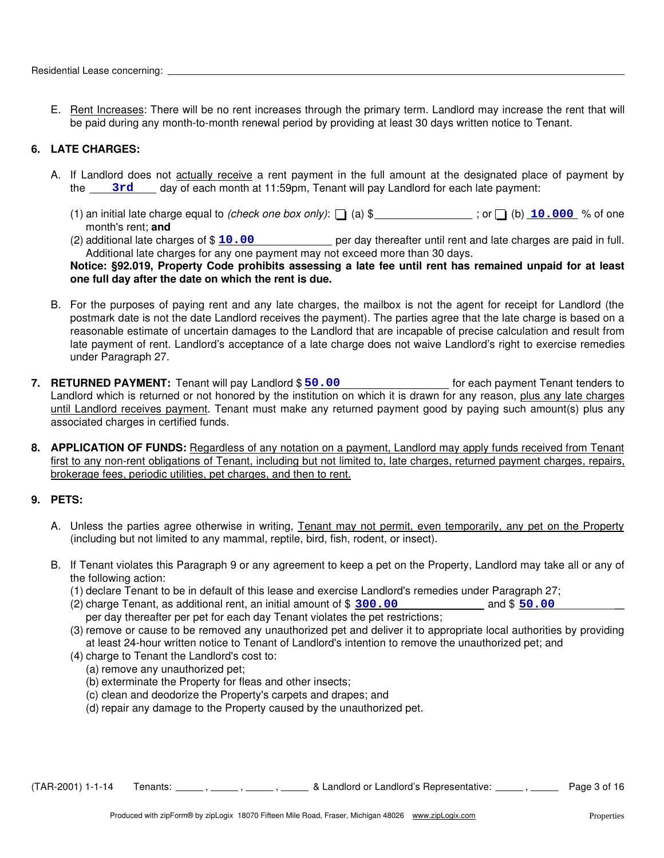E. Rent Increases: There will be no rent increases through the primary term. Landlord may increase the rent that will be paid during any month-to-month renewal period by providing at least 30 days written notice to Tenant.

# **6. LATE CHARGES:**

- A. If Landlord does not actually receive a rent payment in the full amount at the designated place of payment by the 3rd day of each month at 11:59pm, Tenant will pay Landlord for each late payment:
	- (1) an initial late charge equal to *(check one box only)*:  $\Box$  (a) \$ \_\_\_\_\_\_\_\_\_\_\_\_\_\_; or  $\Box$  (b)  $\Box$  0.000 % of one month's rent; **and**
	- (2) additional late charges of \$ 10.00 **100** per day thereafter until rent and late charges are paid in full. Additional late charges for any one payment may not exceed more than 30 days.

## **Notice: §92.019, Property Code prohibits assessing a late fee until rent has remained unpaid for at least one full day after the date on which the rent is due.**

- B. For the purposes of paying rent and any late charges, the mailbox is not the agent for receipt for Landlord (the postmark date is not the date Landlord receives the payment). The parties agree that the late charge is based on a reasonable estimate of uncertain damages to the Landlord that are incapable of precise calculation and result from late payment of rent. Landlord's acceptance of a late charge does not waive Landlord's right to exercise remedies under Paragraph 27.
- 7. RETURNED PAYMENT: Tenant will pay Landlord \$ 50.00 [10] [10] [10] for each payment Tenant tenders to Landlord which is returned or not honored by the institution on which it is drawn for any reason, plus any late charges until Landlord receives payment. Tenant must make any returned payment good by paying such amount(s) plus any associated charges in certified funds.
- **8. APPLICATION OF FUNDS:** Regardless of any notation on a payment, Landlord may apply funds received from Tenant first to any non-rent obligations of Tenant, including but not limited to, late charges, returned payment charges, repairs, brokerage fees, periodic utilities, pet charges, and then to rent.

# **9. PETS:**

- A. Unless the parties agree otherwise in writing, Tenant may not permit, even temporarily, any pet on the Property (including but not limited to any mammal, reptile, bird, fish, rodent, or insect).
- B. If Tenant violates this Paragraph 9 or any agreement to keep a pet on the Property, Landlord may take all or any of the following action:
	- (1) declare Tenant to be in default of this lease and exercise Landlord's remedies under Paragraph 27;
	- $(2)$  charge Tenant, as additional rent, an initial amount of  $$300.00$  and  $$50.00$ per day thereafter per pet for each day Tenant violates the pet restrictions;
	- (3) remove or cause to be removed any unauthorized pet and deliver it to appropriate local authorities by providing at least 24-hour written notice to Tenant of Landlord's intention to remove the unauthorized pet; and
	- (4) charge to Tenant the Landlord's cost to:
		- (a) remove any unauthorized pet;
		- (b) exterminate the Property for fleas and other insects;
		- (c) clean and deodorize the Property's carpets and drapes; and
		- (d) repair any damage to the Property caused by the unauthorized pet.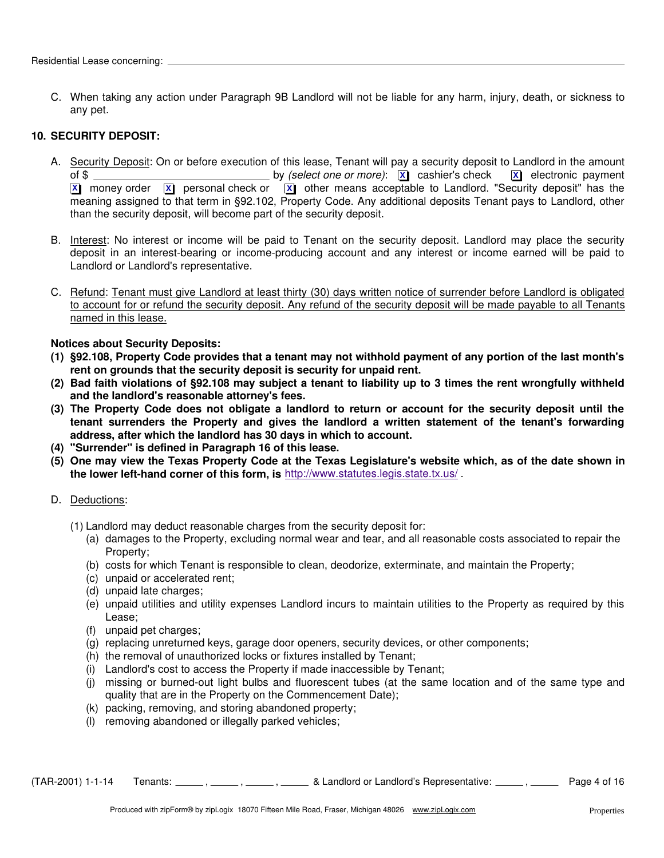C. When taking any action under Paragraph 9B Landlord will not be liable for any harm, injury, death, or sickness to any pet.

## **10. SECURITY DEPOSIT:**

- A. Security Deposit: On or before execution of this lease, Tenant will pay a security deposit to Landlord in the amount of \$ by *(select one or more)*: cashier's check electronic payment **X X X** money order  $\boxed{\mathbf{x}}$  personal check or  $\boxed{\mathbf{x}}$  other means acceptable to Landlord. "Security deposit" has the meaning assigned to that term in §92.102, Property Code. Any additional deposits Tenant pays to Landlord, other than the security deposit, will become part of the security deposit.
- B. Interest: No interest or income will be paid to Tenant on the security deposit. Landlord may place the security deposit in an interest-bearing or income-producing account and any interest or income earned will be paid to Landlord or Landlord's representative.
- C. Refund: Tenant must give Landlord at least thirty (30) days written notice of surrender before Landlord is obligated to account for or refund the security deposit. Any refund of the security deposit will be made payable to all Tenants named in this lease.

# **Notices about Security Deposits:**

- **(1) §92.108, Property Code provides that a tenant may not withhold payment of any portion of the last month's rent on grounds that the security deposit is security for unpaid rent.**
- **(2) Bad faith violations of §92.108 may subject a tenant to liability up to 3 times the rent wrongfully withheld and the landlord's reasonable attorney's fees.**
- **(3) The Property Code does not obligate a landlord to return or account for the security deposit until the tenant surrenders the Property and gives the landlord a written statement of the tenant's forwarding address, after which the landlord has 30 days in which to account.**
- **(4) "Surrender" is defined in Paragraph 16 of this lease.**
- **(5) One may view the Texas Property Code at the Texas Legislature's website which, as of the date shown in the lower left-hand corner of this form, is** http://www.statutes.legis.state.tx.us/ .
- D. Deductions:
	- (1) Landlord may deduct reasonable charges from the security deposit for:
		- (a) damages to the Property, excluding normal wear and tear, and all reasonable costs associated to repair the Property;
		- (b) costs for which Tenant is responsible to clean, deodorize, exterminate, and maintain the Property;
		- (c) unpaid or accelerated rent;
		- (d) unpaid late charges;
		- (e) unpaid utilities and utility expenses Landlord incurs to maintain utilities to the Property as required by this Lease;
		- (f) unpaid pet charges;
		- (g) replacing unreturned keys, garage door openers, security devices, or other components;
		- (h) the removal of unauthorized locks or fixtures installed by Tenant;
		- (i) Landlord's cost to access the Property if made inaccessible by Tenant;
		- (j) missing or burned-out light bulbs and fluorescent tubes (at the same location and of the same type and quality that are in the Property on the Commencement Date);
		- (k) packing, removing, and storing abandoned property;
		- (l) removing abandoned or illegally parked vehicles;

 $(TAR-2001)$  1-1-14 Tenants:  $\frac{1}{\sqrt{16}}$ ,  $\frac{1}{\sqrt{16}}$ ,  $\frac{1}{\sqrt{16}}$  & Landlord or Landlord's Representative:  $\frac{1}{\sqrt{16}}$  Page 4 of 16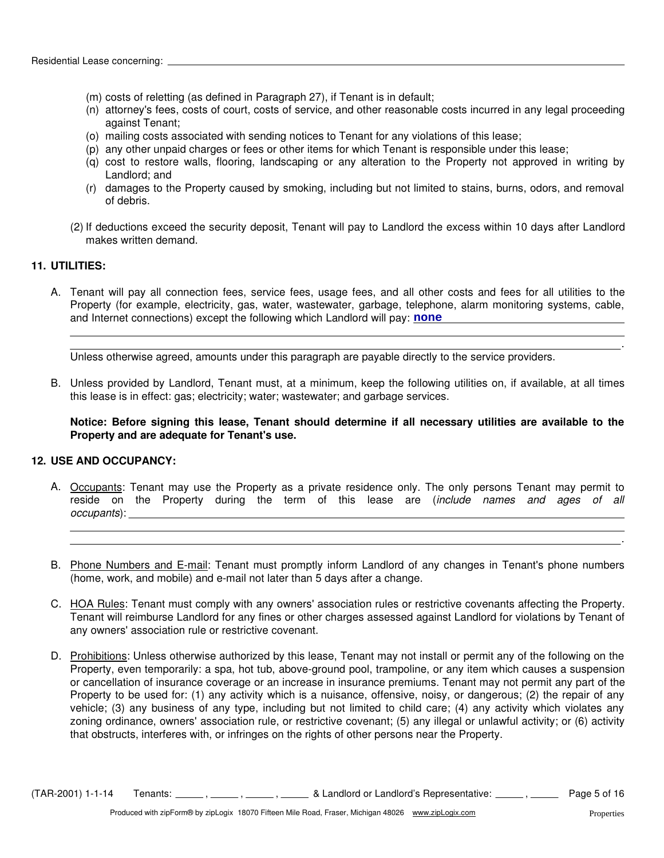- (m) costs of reletting (as defined in Paragraph 27), if Tenant is in default;
- (n) attorney's fees, costs of court, costs of service, and other reasonable costs incurred in any legal proceeding against Tenant;
- (o) mailing costs associated with sending notices to Tenant for any violations of this lease;
- (p) any other unpaid charges or fees or other items for which Tenant is responsible under this lease;
- (q) cost to restore walls, flooring, landscaping or any alteration to the Property not approved in writing by Landlord; and
- (r) damages to the Property caused by smoking, including but not limited to stains, burns, odors, and removal of debris.
- (2) If deductions exceed the security deposit, Tenant will pay to Landlord the excess within 10 days after Landlord makes written demand.

# **11. UTILITIES:**

A. Tenant will pay all connection fees, service fees, usage fees, and all other costs and fees for all utilities to the Property (for example, electricity, gas, water, wastewater, garbage, telephone, alarm monitoring systems, cable, and Internet connections) except the following which Landlord will pay: **none** 

Unless otherwise agreed, amounts under this paragraph are payable directly to the service providers.

B. Unless provided by Landlord, Tenant must, at a minimum, keep the following utilities on, if available, at all times this lease is in effect: gas; electricity; water; wastewater; and garbage services.

**Notice: Before signing this lease, Tenant should determine if all necessary utilities are available to the Property and are adequate for Tenant's use.**

#### **12. USE AND OCCUPANCY:**

- A. Occupants: Tenant may use the Property as a private residence only. The only persons Tenant may permit to reside on the Property during the term of this lease are (*include names and ages of all occupants*):
- B. Phone Numbers and E-mail: Tenant must promptly inform Landlord of any changes in Tenant's phone numbers (home, work, and mobile) and e-mail not later than 5 days after a change.
- C. HOA Rules: Tenant must comply with any owners' association rules or restrictive covenants affecting the Property. Tenant will reimburse Landlord for any fines or other charges assessed against Landlord for violations by Tenant of any owners' association rule or restrictive covenant.
- D. Prohibitions: Unless otherwise authorized by this lease, Tenant may not install or permit any of the following on the Property, even temporarily: a spa, hot tub, above-ground pool, trampoline, or any item which causes a suspension or cancellation of insurance coverage or an increase in insurance premiums. Tenant may not permit any part of the Property to be used for: (1) any activity which is a nuisance, offensive, noisy, or dangerous; (2) the repair of any vehicle; (3) any business of any type, including but not limited to child care; (4) any activity which violates any zoning ordinance, owners' association rule, or restrictive covenant; (5) any illegal or unlawful activity; or (6) activity that obstructs, interferes with, or infringes on the rights of other persons near the Property.

 $(TAR-2001)$  1-1-14 Tenants:  $\frac{1}{16}$ ,  $\frac{1}{16}$ ,  $\frac{1}{16}$ ,  $\frac{1}{16}$  & Landlord or Landlord's Representative:  $\frac{1}{16}$  Page 5 of 16

.

.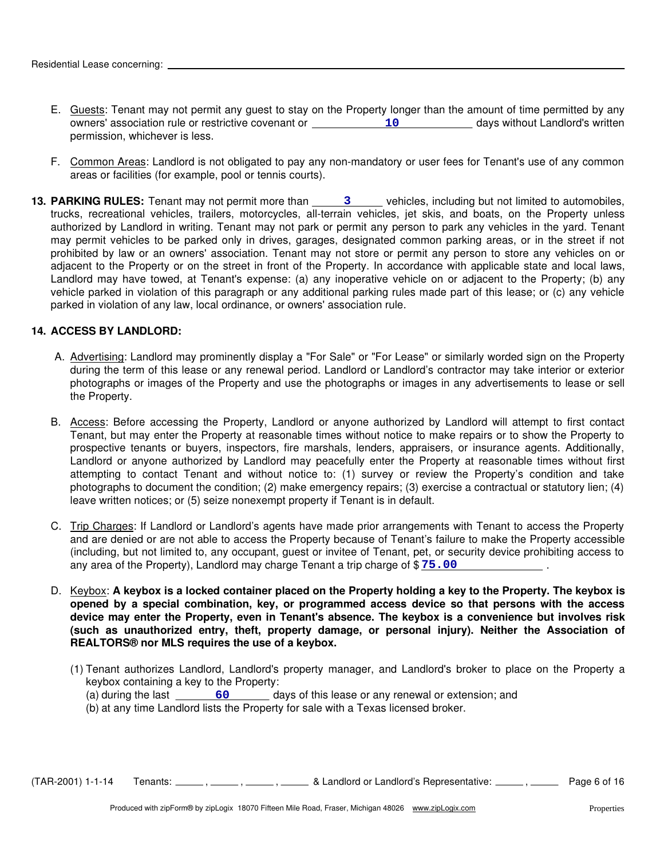- E. Guests: Tenant may not permit any guest to stay on the Property longer than the amount of time permitted by any owners' association rule or restrictive covenant or \_\_\_\_\_\_\_\_\_\_\_\_\_\_10 \_\_\_\_\_\_\_\_\_\_\_\_ days without Landlord's written permission, whichever is less.
- F. Common Areas: Landlord is not obligated to pay any non-mandatory or user fees for Tenant's use of any common areas or facilities (for example, pool or tennis courts).
- adjacent to the Property or on the street in front of the Property. In accordance with applicable state and local laws, Landlord may have towed, at Tenant's expense: (a) any inoperative vehicle on or adjacent to the Property; (b) any vehicle parked in violation of this paragraph or any additional parking rules made part of this lease; or (c) any vehicle parked in violation of any law, local ordinance, or owners' association rule. **13. PARKING RULES:** Tenant may not permit more than \_\_\_\_\_\_\_\_3 vehicles, including but not limited to automobiles, trucks, recreational vehicles, trailers, motorcycles, all-terrain vehicles, jet skis, and boats, on the Property unless authorized by Landlord in writing. Tenant may not park or permit any person to park any vehicles in the yard. Tenant may permit vehicles to be parked only in drives, garages, designated common parking areas, or in the street if not prohibited by law or an owners' association. Tenant may not store or permit any person to store any vehicles on or

### **14. ACCESS BY LANDLORD:**

- A. Advertising: Landlord may prominently display a "For Sale" or "For Lease" or similarly worded sign on the Property during the term of this lease or any renewal period. Landlord or Landlord's contractor may take interior or exterior photographs or images of the Property and use the photographs or images in any advertisements to lease or sell the Property.
- B. Access: Before accessing the Property, Landlord or anyone authorized by Landlord will attempt to first contact Tenant, but may enter the Property at reasonable times without notice to make repairs or to show the Property to prospective tenants or buyers, inspectors, fire marshals, lenders, appraisers, or insurance agents. Additionally, Landlord or anyone authorized by Landlord may peacefully enter the Property at reasonable times without first attempting to contact Tenant and without notice to: (1) survey or review the Property's condition and take photographs to document the condition; (2) make emergency repairs; (3) exercise a contractual or statutory lien; (4) leave written notices; or (5) seize nonexempt property if Tenant is in default.
- C. Trip Charges: If Landlord or Landlord's agents have made prior arrangements with Tenant to access the Property . and are denied or are not able to access the Property because of Tenant's failure to make the Property accessible (including, but not limited to, any occupant, guest or invitee of Tenant, pet, or security device prohibiting access to any area of the Property), Landlord may charge Tenant a trip charge of \$ **75.00**
- D. Keybox: **A keybox is a locked container placed on the Property holding a key to the Property. The keybox is opened by a special combination, key, or programmed access device so that persons with the access device may enter the Property, even in Tenant's absence. The keybox is a convenience but involves risk (such as unauthorized entry, theft, property damage, or personal injury). Neither the Association of REALTORS® nor MLS requires the use of a keybox.**
	- (1) Tenant authorizes Landlord, Landlord's property manager, and Landlord's broker to place on the Property a keybox containing a key to the Property:
		- (a) during the last **60** 60 days of this lease or any renewal or extension; and
		- (b) at any time Landlord lists the Property for sale with a Texas licensed broker.

 $(TAR-2001)$  1-1-14 Tenants:  $\frac{1}{\sqrt{16}}$ ,  $\frac{1}{\sqrt{16}}$ ,  $\frac{1}{\sqrt{16}}$  & Landlord or Landlord's Representative:  $\frac{1}{\sqrt{16}}$  Page 6 of 16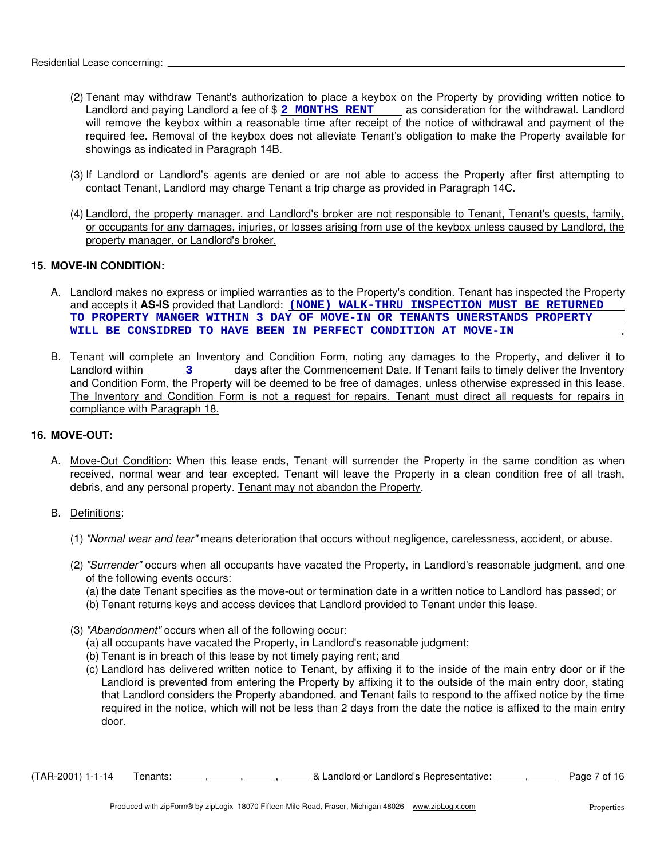- (2) Tenant may withdraw Tenant's authorization to place a keybox on the Property by providing written notice to Landlord and paying Landlord a fee of \$ 2 MONTHS RENT as consideration for the withdrawal. Landlord will remove the keybox within a reasonable time after receipt of the notice of withdrawal and payment of the required fee. Removal of the keybox does not alleviate Tenant's obligation to make the Property available for showings as indicated in Paragraph 14B.
- (3) If Landlord or Landlord's agents are denied or are not able to access the Property after first attempting to contact Tenant, Landlord may charge Tenant a trip charge as provided in Paragraph 14C.
- (4) Landlord, the property manager, and Landlord's broker are not responsible to Tenant, Tenant's guests, family, or occupants for any damages, injuries, or losses arising from use of the keybox unless caused by Landlord, the property manager, or Landlord's broker.

# **15. MOVE-IN CONDITION:**

- A. Landlord makes no express or implied warranties as to the Property's condition. Tenant has inspected the Property and accepts it AS-IS provided that Landlord: (NONE) WALK-THRU INSPECTION MUST BE RETURNED . **TO PROPERTY MANGER WITHIN 3 DAY OF MOVE-IN OR TENANTS UNERSTANDS PROPERTY WILL BE CONSIDRED TO HAVE BEEN IN PERFECT CONDITION AT MOVE-IN**
- B. Tenant will complete an Inventory and Condition Form, noting any damages to the Property, and deliver it to Landlord within \_\_\_\_\_\_\_\_\_\_\_\_\_\_\_\_\_\_\_\_\_\_ days after the Commencement Date. If Tenant fails to timely deliver the Inventory and Condition Form, the Property will be deemed to be free of damages, unless otherwise expressed in this lease. The Inventory and Condition Form is not a request for repairs. Tenant must direct all requests for repairs in compliance with Paragraph 18.

# **16. MOVE-OUT:**

- A. Move-Out Condition: When this lease ends, Tenant will surrender the Property in the same condition as when received, normal wear and tear excepted. Tenant will leave the Property in a clean condition free of all trash, debris, and any personal property. Tenant may not abandon the Property.
- B. Definitions:
	- (1) *"Normal wear and tear"* means deterioration that occurs without negligence, carelessness, accident, or abuse.
	- (2) *"Surrender"* occurs when all occupants have vacated the Property, in Landlord's reasonable judgment, and one of the following events occurs:
		- (a) the date Tenant specifies as the move-out or termination date in a written notice to Landlord has passed; or
		- (b) Tenant returns keys and access devices that Landlord provided to Tenant under this lease.
	- (3) *"Abandonment"* occurs when all of the following occur:
		- (a) all occupants have vacated the Property, in Landlord's reasonable judgment;
		- (b) Tenant is in breach of this lease by not timely paying rent; and
		- (c) Landlord has delivered written notice to Tenant, by affixing it to the inside of the main entry door or if the Landlord is prevented from entering the Property by affixing it to the outside of the main entry door, stating that Landlord considers the Property abandoned, and Tenant fails to respond to the affixed notice by the time required in the notice, which will not be less than 2 days from the date the notice is affixed to the main entry door.

 $(TAR-2001)$  1-1-14 Tenants:  $\ldots$ ,  $\ldots$ ,  $\ldots$ ,  $\ldots$  & Landlord or Landlord's Representative:  $\ldots$ , Page 7 of 16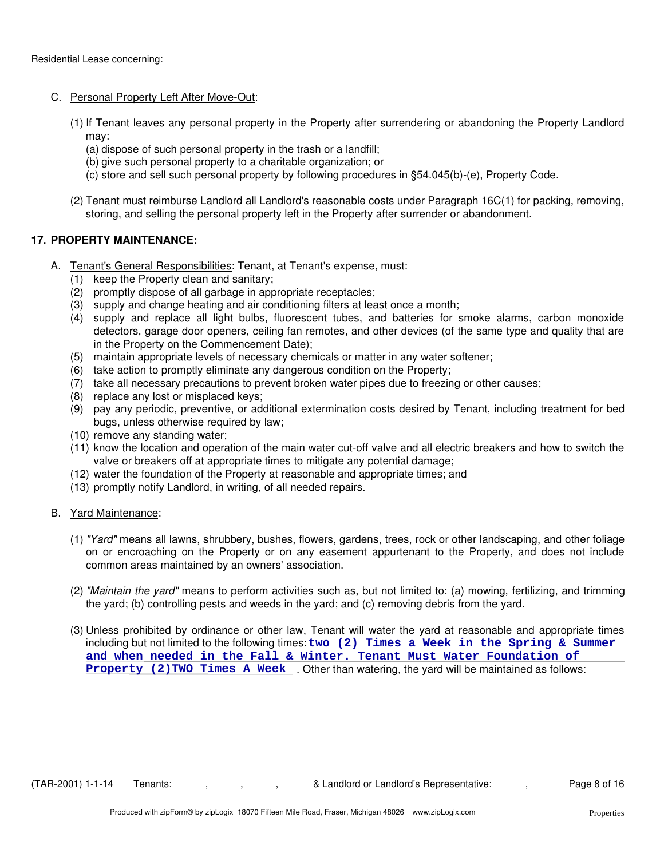## C. Personal Property Left After Move-Out:

- (1) If Tenant leaves any personal property in the Property after surrendering or abandoning the Property Landlord may:
	- (a) dispose of such personal property in the trash or a landfill;
	- (b) give such personal property to a charitable organization; or
	- (c) store and sell such personal property by following procedures in §54.045(b)-(e), Property Code.
- (2) Tenant must reimburse Landlord all Landlord's reasonable costs under Paragraph 16C(1) for packing, removing, storing, and selling the personal property left in the Property after surrender or abandonment.

# **17. PROPERTY MAINTENANCE:**

- A. Tenant's General Responsibilities: Tenant, at Tenant's expense, must:
	- (1) keep the Property clean and sanitary;
	- (2) promptly dispose of all garbage in appropriate receptacles;
	- (3) supply and change heating and air conditioning filters at least once a month;
	- (4) supply and replace all light bulbs, fluorescent tubes, and batteries for smoke alarms, carbon monoxide detectors, garage door openers, ceiling fan remotes, and other devices (of the same type and quality that are in the Property on the Commencement Date);
	- (5) maintain appropriate levels of necessary chemicals or matter in any water softener;
	- (6) take action to promptly eliminate any dangerous condition on the Property;
	- (7) take all necessary precautions to prevent broken water pipes due to freezing or other causes;
	- (8) replace any lost or misplaced keys;
	- (9) pay any periodic, preventive, or additional extermination costs desired by Tenant, including treatment for bed bugs, unless otherwise required by law;
	- (10) remove any standing water;
	- (11) know the location and operation of the main water cut-off valve and all electric breakers and how to switch the valve or breakers off at appropriate times to mitigate any potential damage;
	- (12) water the foundation of the Property at reasonable and appropriate times; and
	- (13) promptly notify Landlord, in writing, of all needed repairs.

#### B. Yard Maintenance:

- (1) *"Yard"* means all lawns, shrubbery, bushes, flowers, gardens, trees, rock or other landscaping, and other foliage on or encroaching on the Property or on any easement appurtenant to the Property, and does not include common areas maintained by an owners' association.
- (2) *"Maintain the yard"* means to perform activities such as, but not limited to: (a) mowing, fertilizing, and trimming the yard; (b) controlling pests and weeds in the yard; and (c) removing debris from the yard.
- (3) Unless prohibited by ordinance or other law, Tenant will water the yard at reasonable and appropriate times including but not limited to the following times: **two (2) Times a Week in the Spring & Summer Property (2) TWO Times A Week** . Other than watering, the yard will be maintained as follows: **and when needed in the Fall & Winter. Tenant Must Water Foundation of**

 $(TAR-2001)$  1-1-14 Tenants:  $\frac{1}{16}$ ,  $\frac{1}{16}$ ,  $\frac{1}{16}$ ,  $\frac{1}{16}$  & Landlord or Landlord's Representative:  $\frac{1}{16}$  Page 8 of 16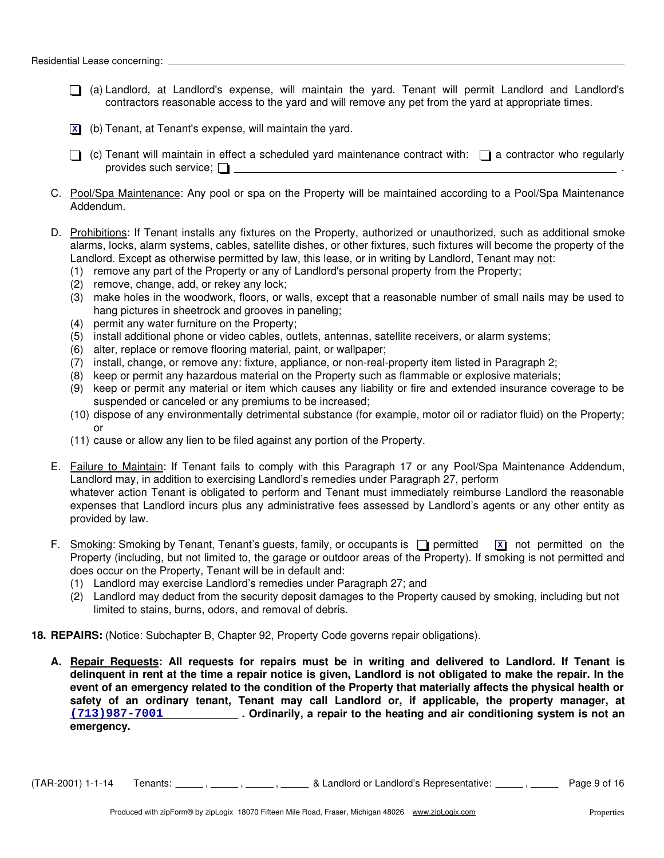- (a) Landlord, at Landlord's expense, will maintain the yard. Tenant will permit Landlord and Landlord's contractors reasonable access to the yard and will remove any pet from the yard at appropriate times.
- (b) Tenant, at Tenant's expense, will maintain the yard. **X**
- $\Box$  (c) Tenant will maintain in effect a scheduled yard maintenance contract with:  $\Box$  a contractor who regularly provides such service;  $\Box$
- C. Pool/Spa Maintenance: Any pool or spa on the Property will be maintained according to a Pool/Spa Maintenance Addendum.
- D. Prohibitions: If Tenant installs any fixtures on the Property, authorized or unauthorized, such as additional smoke alarms, locks, alarm systems, cables, satellite dishes, or other fixtures, such fixtures will become the property of the Landlord. Except as otherwise permitted by law, this lease, or in writing by Landlord, Tenant may not:
	- (1) remove any part of the Property or any of Landlord's personal property from the Property;
	- (2) remove, change, add, or rekey any lock;
	- (3) make holes in the woodwork, floors, or walls, except that a reasonable number of small nails may be used to hang pictures in sheetrock and grooves in paneling;
	- (4) permit any water furniture on the Property;
	- (5) install additional phone or video cables, outlets, antennas, satellite receivers, or alarm systems;
	- (6) alter, replace or remove flooring material, paint, or wallpaper;
	- (7) install, change, or remove any: fixture, appliance, or non-real-property item listed in Paragraph 2;
	- (8) keep or permit any hazardous material on the Property such as flammable or explosive materials;
	- (9) keep or permit any material or item which causes any liability or fire and extended insurance coverage to be suspended or canceled or any premiums to be increased;
	- (10) dispose of any environmentally detrimental substance (for example, motor oil or radiator fluid) on the Property; or
	- (11) cause or allow any lien to be filed against any portion of the Property.
- E. Failure to Maintain: If Tenant fails to comply with this Paragraph 17 or any Pool/Spa Maintenance Addendum, Landlord may, in addition to exercising Landlord's remedies under Paragraph 27, perform whatever action Tenant is obligated to perform and Tenant must immediately reimburse Landlord the reasonable expenses that Landlord incurs plus any administrative fees assessed by Landlord's agents or any other entity as provided by law.
- F. Smoking: Smoking by Tenant, Tenant's guests, family, or occupants is  $\Box$  permitted Property (including, but not limited to, the garage or outdoor areas of the Property). If smoking is not permitted and does occur on the Property, Tenant will be in default and: **x** not permitted on the
	- (1) Landlord may exercise Landlord's remedies under Paragraph 27; and
	- (2) Landlord may deduct from the security deposit damages to the Property caused by smoking, including but not limited to stains, burns, odors, and removal of debris.
- **18. REPAIRS:** (Notice: Subchapter B, Chapter 92, Property Code governs repair obligations).
	- **A. Repair Requests: All requests for repairs must be in writing and delivered to Landlord. If Tenant is delinquent in rent at the time a repair notice is given, Landlord is not obligated to make the repair. In the event of an emergency related to the condition of the Property that materially affects the physical health or safety of an ordinary tenant, Tenant may call Landlord or, if applicable, the property manager, at . Ordinarily, a repair to the heating and air conditioning system is not an (713)987-7001 emergency.**

 $(TAR-2001)$  1-1-14 Tenants:  $\frac{1}{16}$ ,  $\frac{1}{16}$ ,  $\frac{1}{16}$  & Landlord or Landlord's Representative:  $\frac{1}{16}$  Page 9 of 16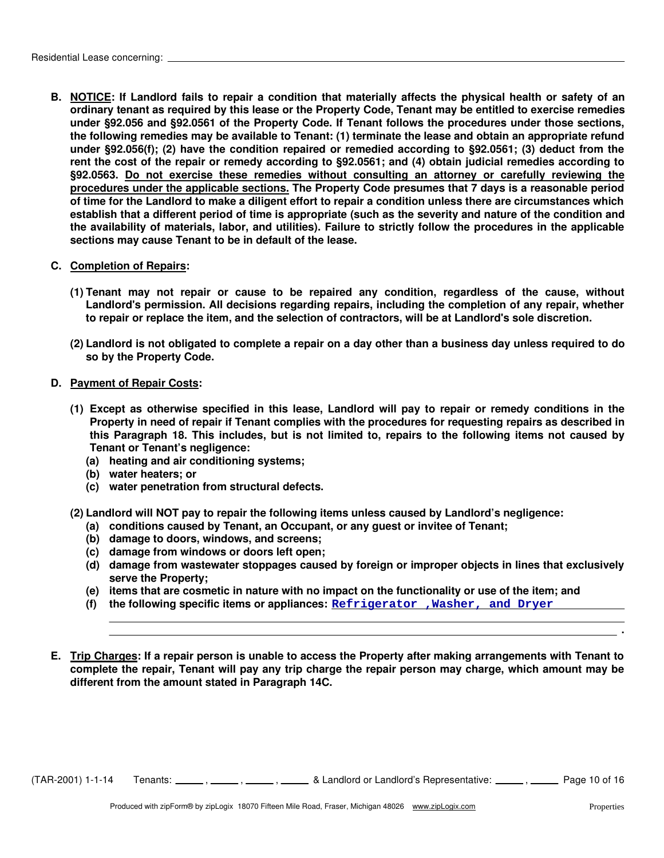**B. NOTICE: If Landlord fails to repair a condition that materially affects the physical health or safety of an ordinary tenant as required by this lease or the Property Code, Tenant may be entitled to exercise remedies under §92.056 and §92.0561 of the Property Code. If Tenant follows the procedures under those sections, the following remedies may be available to Tenant: (1) terminate the lease and obtain an appropriate refund under §92.056(f); (2) have the condition repaired or remedied according to §92.0561; (3) deduct from the rent the cost of the repair or remedy according to §92.0561; and (4) obtain judicial remedies according to §92.0563. Do not exercise these remedies without consulting an attorney or carefully reviewing the procedures under the applicable sections. The Property Code presumes that 7 days is a reasonable period of time for the Landlord to make a diligent effort to repair a condition unless there are circumstances which establish that a different period of time is appropriate (such as the severity and nature of the condition and the availability of materials, labor, and utilities). Failure to strictly follow the procedures in the applicable sections may cause Tenant to be in default of the lease.**

#### **C. Completion of Repairs:**

- **(1) Tenant may not repair or cause to be repaired any condition, regardless of the cause, without Landlord's permission. All decisions regarding repairs, including the completion of any repair, whether to repair or replace the item, and the selection of contractors, will be at Landlord's sole discretion.**
- **(2) Landlord is not obligated to complete a repair on a day other than a business day unless required to do so by the Property Code.**
- **D. Payment of Repair Costs:**
	- **(1) Except as otherwise specified in this lease, Landlord will pay to repair or remedy conditions in the Property in need of repair if Tenant complies with the procedures for requesting repairs as described in this Paragraph 18. This includes, but is not limited to, repairs to the following items not caused by Tenant or Tenant's negligence:**
		- **(a) heating and air conditioning systems;**
		- **(b) water heaters; or**
		- **(c) water penetration from structural defects.**
	- **(2) Landlord will NOT pay to repair the following items unless caused by Landlord's negligence:**
		- **(a) conditions caused by Tenant, an Occupant, or any guest or invitee of Tenant;**
		- **(b) damage to doors, windows, and screens;**
		- **(c) damage from windows or doors left open;**
		- **(d) damage from wastewater stoppages caused by foreign or improper objects in lines that exclusively serve the Property;**
		- **(e) items that are cosmetic in nature with no impact on the functionality or use of the item; and**
		- **(f) the following specific items or appliances: Refrigerator ,Washer, and Dryer**
- **E. Trip Charges: If a repair person is unable to access the Property after making arrangements with Tenant to complete the repair, Tenant will pay any trip charge the repair person may charge, which amount may be different from the amount stated in Paragraph 14C.**

 $(TAR-2001)$  1-1-14 Tenants:  $\frac{1}{\sqrt{16}}$ ,  $\frac{1}{\sqrt{16}}$ ,  $\frac{1}{\sqrt{16}}$  & Landlord or Landlord's Representative:  $\frac{1}{\sqrt{16}}$  Page 10 of 16

**.**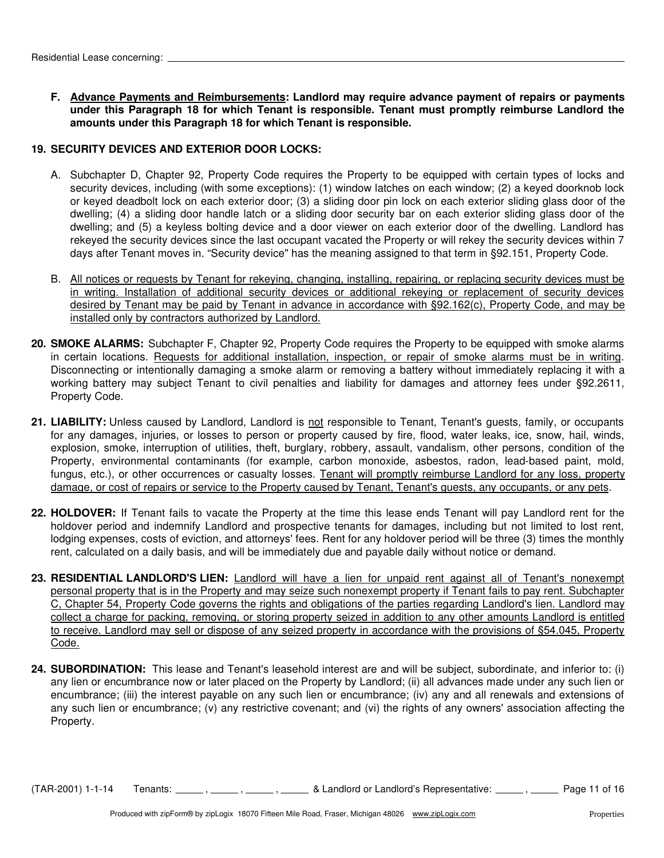**F. Advance Payments and Reimbursements: Landlord may require advance payment of repairs or payments under this Paragraph 18 for which Tenant is responsible. Tenant must promptly reimburse Landlord the amounts under this Paragraph 18 for which Tenant is responsible.**

# **19. SECURITY DEVICES AND EXTERIOR DOOR LOCKS:**

- A. Subchapter D, Chapter 92, Property Code requires the Property to be equipped with certain types of locks and security devices, including (with some exceptions): (1) window latches on each window; (2) a keyed doorknob lock or keyed deadbolt lock on each exterior door; (3) a sliding door pin lock on each exterior sliding glass door of the dwelling; (4) a sliding door handle latch or a sliding door security bar on each exterior sliding glass door of the dwelling; and (5) a keyless bolting device and a door viewer on each exterior door of the dwelling. Landlord has rekeyed the security devices since the last occupant vacated the Property or will rekey the security devices within 7 days after Tenant moves in. "Security device" has the meaning assigned to that term in §92.151, Property Code.
- B. All notices or requests by Tenant for rekeying, changing, installing, repairing, or replacing security devices must be in writing. Installation of additional security devices or additional rekeying or replacement of security devices desired by Tenant may be paid by Tenant in advance in accordance with §92.162(c), Property Code, and may be installed only by contractors authorized by Landlord.
- **20. SMOKE ALARMS:** Subchapter F, Chapter 92, Property Code requires the Property to be equipped with smoke alarms in certain locations. Requests for additional installation, inspection, or repair of smoke alarms must be in writing. Disconnecting or intentionally damaging a smoke alarm or removing a battery without immediately replacing it with a working battery may subject Tenant to civil penalties and liability for damages and attorney fees under §92.2611, Property Code.
- 21. LIABILITY: Unless caused by Landlord, Landlord is not responsible to Tenant, Tenant's guests, family, or occupants for any damages, injuries, or losses to person or property caused by fire, flood, water leaks, ice, snow, hail, winds, explosion, smoke, interruption of utilities, theft, burglary, robbery, assault, vandalism, other persons, condition of the Property, environmental contaminants (for example, carbon monoxide, asbestos, radon, lead-based paint, mold, fungus, etc.), or other occurrences or casualty losses. Tenant will promptly reimburse Landlord for any loss, property damage, or cost of repairs or service to the Property caused by Tenant, Tenant's guests, any occupants, or any pets.
- **22. HOLDOVER:** If Tenant fails to vacate the Property at the time this lease ends Tenant will pay Landlord rent for the holdover period and indemnify Landlord and prospective tenants for damages, including but not limited to lost rent, lodging expenses, costs of eviction, and attorneys' fees. Rent for any holdover period will be three (3) times the monthly rent, calculated on a daily basis, and will be immediately due and payable daily without notice or demand.
- **23. RESIDENTIAL LANDLORD'S LIEN:** Landlord will have a lien for unpaid rent against all of Tenant's nonexempt personal property that is in the Property and may seize such nonexempt property if Tenant fails to pay rent. Subchapter C, Chapter 54, Property Code governs the rights and obligations of the parties regarding Landlord's lien. Landlord may collect a charge for packing, removing, or storing property seized in addition to any other amounts Landlord is entitled to receive. Landlord may sell or dispose of any seized property in accordance with the provisions of §54.045, Property Code.
- **24. SUBORDINATION:** This lease and Tenant's leasehold interest are and will be subject, subordinate, and inferior to: (i) any lien or encumbrance now or later placed on the Property by Landlord; (ii) all advances made under any such lien or encumbrance; (iii) the interest payable on any such lien or encumbrance; (iv) any and all renewals and extensions of any such lien or encumbrance; (v) any restrictive covenant; and (vi) the rights of any owners' association affecting the Property.

 $(TAR-2001)$  1-1-14 Tenants:  $\frac{1}{\sqrt{16}}$ ,  $\frac{1}{\sqrt{16}}$ ,  $\frac{1}{\sqrt{16}}$  & Landlord or Landlord's Representative:  $\frac{1}{\sqrt{16}}$  Page 11 of 16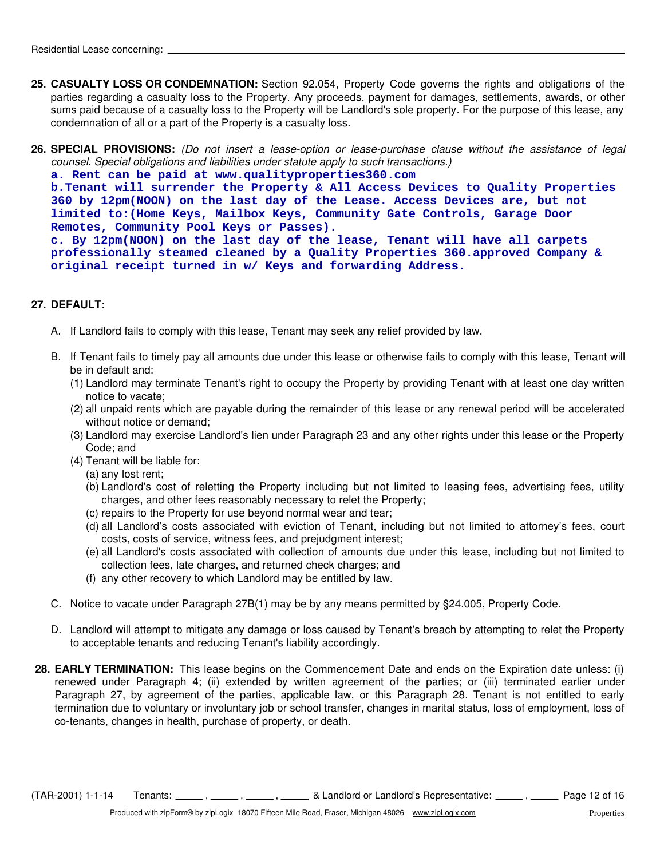- **25. CASUALTY LOSS OR CONDEMNATION:** Section 92.054, Property Code governs the rights and obligations of the parties regarding a casualty loss to the Property. Any proceeds, payment for damages, settlements, awards, or other sums paid because of a casualty loss to the Property will be Landlord's sole property. For the purpose of this lease, any condemnation of all or a part of the Property is a casualty loss.
- **26. SPECIAL PROVISIONS:** *(Do not insert a lease-option or lease-purchase clause without the assistance of legal counsel. Special obligations and liabilities under statute apply to such transactions.)*

**a. Rent can be paid at www.qualityproperties360.com b.Tenant will surrender the Property & All Access Devices to Quality Properties 360 by 12pm(NOON) on the last day of the Lease. Access Devices are, but not limited to:(Home Keys, Mailbox Keys, Community Gate Controls, Garage Door Remotes, Community Pool Keys or Passes). c. By 12pm(NOON) on the last day of the lease, Tenant will have all carpets professionally steamed cleaned by a Quality Properties 360.approved Company & original receipt turned in w/ Keys and forwarding Address.**

# **27. DEFAULT:**

- A. If Landlord fails to comply with this lease, Tenant may seek any relief provided by law.
- B. If Tenant fails to timely pay all amounts due under this lease or otherwise fails to comply with this lease, Tenant will be in default and:
	- (1) Landlord may terminate Tenant's right to occupy the Property by providing Tenant with at least one day written notice to vacate;
	- (2) all unpaid rents which are payable during the remainder of this lease or any renewal period will be accelerated without notice or demand;
	- (3) Landlord may exercise Landlord's lien under Paragraph 23 and any other rights under this lease or the Property Code; and
	- (4) Tenant will be liable for:
		- (a) any lost rent;
		- (b) Landlord's cost of reletting the Property including but not limited to leasing fees, advertising fees, utility charges, and other fees reasonably necessary to relet the Property;
		- (c) repairs to the Property for use beyond normal wear and tear;
		- (d) all Landlord's costs associated with eviction of Tenant, including but not limited to attorney's fees, court costs, costs of service, witness fees, and prejudgment interest;
		- (e) all Landlord's costs associated with collection of amounts due under this lease, including but not limited to collection fees, late charges, and returned check charges; and
		- (f) any other recovery to which Landlord may be entitled by law.
- C. Notice to vacate under Paragraph 27B(1) may be by any means permitted by §24.005, Property Code.
- D. Landlord will attempt to mitigate any damage or loss caused by Tenant's breach by attempting to relet the Property to acceptable tenants and reducing Tenant's liability accordingly.
- **28. EARLY TERMINATION:** This lease begins on the Commencement Date and ends on the Expiration date unless: (i) renewed under Paragraph 4; (ii) extended by written agreement of the parties; or (iii) terminated earlier under Paragraph 27, by agreement of the parties, applicable law, or this Paragraph 28. Tenant is not entitled to early termination due to voluntary or involuntary job or school transfer, changes in marital status, loss of employment, loss of co-tenants, changes in health, purchase of property, or death.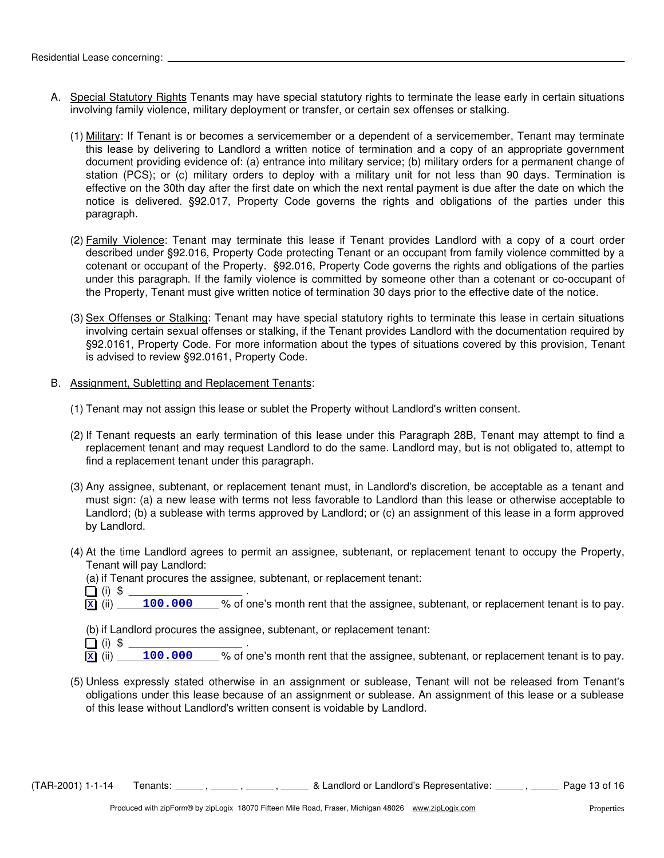- A. Special Statutory Rights Tenants may have special statutory rights to terminate the lease early in certain situations involving family violence, military deployment or transfer, or certain sex offenses or stalking.
	- (1) Military: If Tenant is or becomes a servicemember or a dependent of a servicemember, Tenant may terminate this lease by delivering to Landlord a written notice of termination and a copy of an appropriate government document providing evidence of: (a) entrance into military service; (b) military orders for a permanent change of station (PCS); or (c) military orders to deploy with a military unit for not less than 90 days. Termination is effective on the 30th day after the first date on which the next rental payment is due after the date on which the notice is delivered. §92.017, Property Code governs the rights and obligations of the parties under this paragraph.
	- (2) Family Violence: Tenant may terminate this lease if Tenant provides Landlord with a copy of a court order described under §92.016, Property Code protecting Tenant or an occupant from family violence committed by a cotenant or occupant of the Property. §92.016, Property Code governs the rights and obligations of the parties under this paragraph. If the family violence is committed by someone other than a cotenant or co-occupant of the Property, Tenant must give written notice of termination 30 days prior to the effective date of the notice.
	- (3) Sex Offenses or Stalking: Tenant may have special statutory rights to terminate this lease in certain situations involving certain sexual offenses or stalking, if the Tenant provides Landlord with the documentation required by §92.0161, Property Code. For more information about the types of situations covered by this provision, Tenant is advised to review §92.0161, Property Code.
- B. Assignment, Subletting and Replacement Tenants:
	- (1) Tenant may not assign this lease or sublet the Property without Landlord's written consent.
	- (2) If Tenant requests an early termination of this lease under this Paragraph 28B, Tenant may attempt to find a replacement tenant and may request Landlord to do the same. Landlord may, but is not obligated to, attempt to find a replacement tenant under this paragraph.
	- (3) Any assignee, subtenant, or replacement tenant must, in Landlord's discretion, be acceptable as a tenant and must sign: (a) a new lease with terms not less favorable to Landlord than this lease or otherwise acceptable to Landlord; (b) a sublease with terms approved by Landlord; or (c) an assignment of this lease in a form approved by Landlord.
	- (4) At the time Landlord agrees to permit an assignee, subtenant, or replacement tenant to occupy the Property, Tenant will pay Landlord:
		- (a) if Tenant procures the assignee, subtenant, or replacement tenant:
		- $\Box$  (i) \$
		- $\overline{\mathbf{x}}$  (ii) 100.000 % of one's month rent that the assignee, subtenant, or replacement tenant is to pay.
		- (b) if Landlord procures the assignee, subtenant, or replacement tenant:
		- $(i)$  \$  $\qquad \qquad$
		- $\bar{x}$  (ii) 100.000 % of one's month rent that the assignee, subtenant, or replacement tenant is to pay.
	- (5) Unless expressly stated otherwise in an assignment or sublease, Tenant will not be released from Tenant's obligations under this lease because of an assignment or sublease. An assignment of this lease or a sublease of this lease without Landlord's written consent is voidable by Landlord.

(TAR-2001) 1-1-14 Tenants: \_\_\_\_\_, \_\_\_\_\_, \_\_\_\_\_, & Landlord or Landlord's Representative: \_\_\_\_\_, \_\_\_\_\_ Page 13 of 16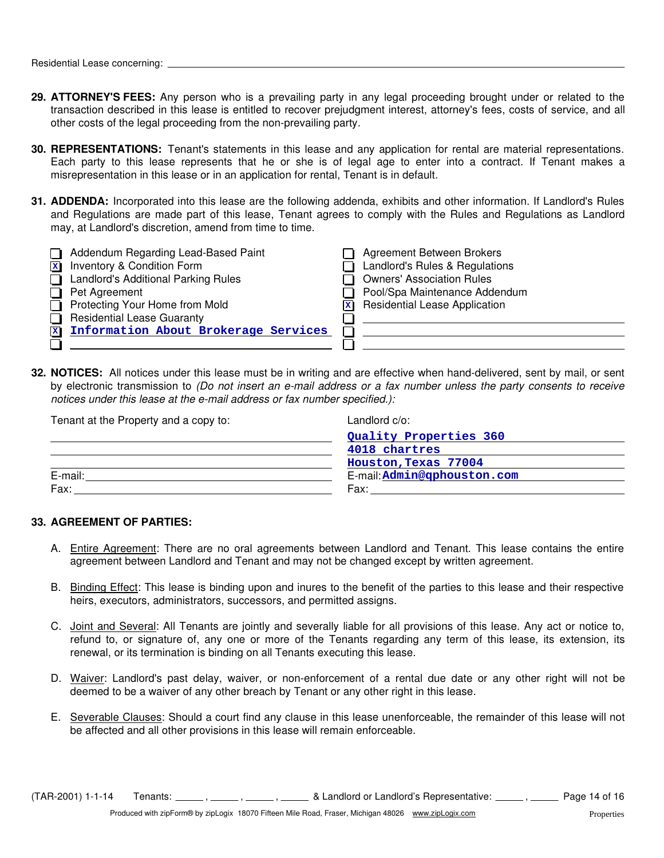- **29. ATTORNEY'S FEES:** Any person who is a prevailing party in any legal proceeding brought under or related to the transaction described in this lease is entitled to recover prejudgment interest, attorney's fees, costs of service, and all other costs of the legal proceeding from the non-prevailing party.
- **30. REPRESENTATIONS:** Tenant's statements in this lease and any application for rental are material representations. Each party to this lease represents that he or she is of legal age to enter into a contract. If Tenant makes a misrepresentation in this lease or in an application for rental, Tenant is in default.
- **31. ADDENDA:** Incorporated into this lease are the following addenda, exhibits and other information. If Landlord's Rules and Regulations are made part of this lease, Tenant agrees to comply with the Rules and Regulations as Landlord may, at Landlord's discretion, amend from time to time.

| Addendum Regarding Lead-Based Paint        | Agreement Between Brokers<br>l.                       |
|--------------------------------------------|-------------------------------------------------------|
| Inventory & Condition Form<br>$\mathbf{x}$ | Landlord's Rules & Regulations                        |
| <b>Landlord's Additional Parking Rules</b> | <b>Owners' Association Rules</b><br>l l               |
| Pet Agreement                              | Pool/Spa Maintenance Addendum                         |
| Protecting Your Home from Mold             | $\overline{\mathbf{x}}$ Residential Lease Application |
| <b>Residential Lease Guaranty</b>          |                                                       |
| Information About Brokerage Services       |                                                       |
|                                            |                                                       |

**32. NOTICES:** All notices under this lease must be in writing and are effective when hand-delivered, sent by mail, or sent by electronic transmission to *(Do not insert an e-mail address or a fax number unless the party consents to receive notices under this lease at the e-mail address or fax number specified.):*

| Tenant at the Property and a copy to: | Landlord c/o:               |
|---------------------------------------|-----------------------------|
|                                       | Quality Properties 360      |
|                                       | 4018 chartres               |
|                                       | Houston, Texas 77004        |
| E-mail:                               | E-mail: Admin@qphouston.com |
| Fax:                                  | Fax:                        |

#### **33. AGREEMENT OF PARTIES:**

- A. Entire Agreement: There are no oral agreements between Landlord and Tenant. This lease contains the entire agreement between Landlord and Tenant and may not be changed except by written agreement.
- B. Binding Effect: This lease is binding upon and inures to the benefit of the parties to this lease and their respective heirs, executors, administrators, successors, and permitted assigns.
- C. Joint and Several: All Tenants are jointly and severally liable for all provisions of this lease. Any act or notice to, refund to, or signature of, any one or more of the Tenants regarding any term of this lease, its extension, its renewal, or its termination is binding on all Tenants executing this lease.
- D. Waiver: Landlord's past delay, waiver, or non-enforcement of a rental due date or any other right will not be deemed to be a waiver of any other breach by Tenant or any other right in this lease.
- E. Severable Clauses: Should a court find any clause in this lease unenforceable, the remainder of this lease will not be affected and all other provisions in this lease will remain enforceable.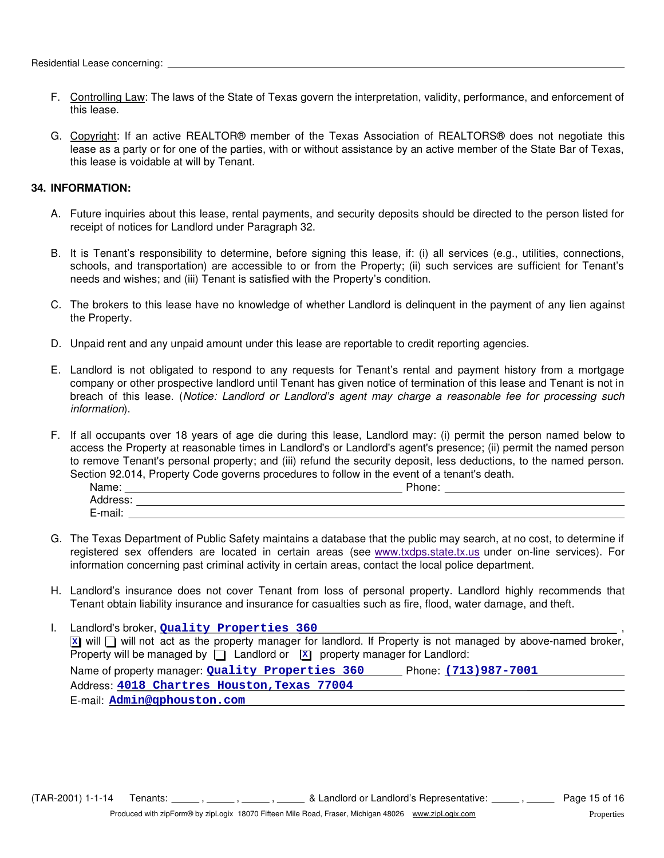- F. Controlling Law: The laws of the State of Texas govern the interpretation, validity, performance, and enforcement of this lease.
- G. Copyright: If an active REALTOR® member of the Texas Association of REALTORS® does not negotiate this lease as a party or for one of the parties, with or without assistance by an active member of the State Bar of Texas, this lease is voidable at will by Tenant.

# **34. INFORMATION:**

- A. Future inquiries about this lease, rental payments, and security deposits should be directed to the person listed for receipt of notices for Landlord under Paragraph 32.
- B. It is Tenant's responsibility to determine, before signing this lease, if: (i) all services (e.g., utilities, connections, schools, and transportation) are accessible to or from the Property; (ii) such services are sufficient for Tenant's needs and wishes; and (iii) Tenant is satisfied with the Property's condition.
- C. The brokers to this lease have no knowledge of whether Landlord is delinquent in the payment of any lien against the Property.
- D. Unpaid rent and any unpaid amount under this lease are reportable to credit reporting agencies.
- E. Landlord is not obligated to respond to any requests for Tenant's rental and payment history from a mortgage company or other prospective landlord until Tenant has given notice of termination of this lease and Tenant is not in breach of this lease. (*Notice: Landlord or Landlord's agent may charge a reasonable fee for processing such information*).
- F. If all occupants over 18 years of age die during this lease, Landlord may: (i) permit the person named below to access the Property at reasonable times in Landlord's or Landlord's agent's presence; (ii) permit the named person to remove Tenant's personal property; and (iii) refund the security deposit, less deductions, to the named person. Section 92.014, Property Code governs procedures to follow in the event of a tenant's death.

| Name:    | Dhone:<br>none. |
|----------|-----------------|
| Address: |                 |
| E-mail:  |                 |

- G. The Texas Department of Public Safety maintains a database that the public may search, at no cost, to determine if information concerning past criminal activity in certain areas, contact the local police department. registered sex offenders are located in certain areas (see www.txdps.state.tx.us under on-line services). For
- H. Landlord's insurance does not cover Tenant from loss of personal property. Landlord highly recommends that Tenant obtain liability insurance and insurance for casualties such as fire, flood, water damage, and theft.

| Landlord's broker, Quality Properties 360                                                                                         |
|-----------------------------------------------------------------------------------------------------------------------------------|
| $\boxed{x}$ will $\boxed{ }$ will not act as the property manager for landlord. If Property is not managed by above-named broker, |
| Property will be managed by $\Box$ Landlord or $\Box$ property manager for Landlord:                                              |
| Name of property manager: Quality Properties 360<br>Phone: (713) 987-7001                                                         |
| Address: 4018 Chartres Houston, Texas 77004                                                                                       |
| E-mail: Admin@qphouston.com                                                                                                       |